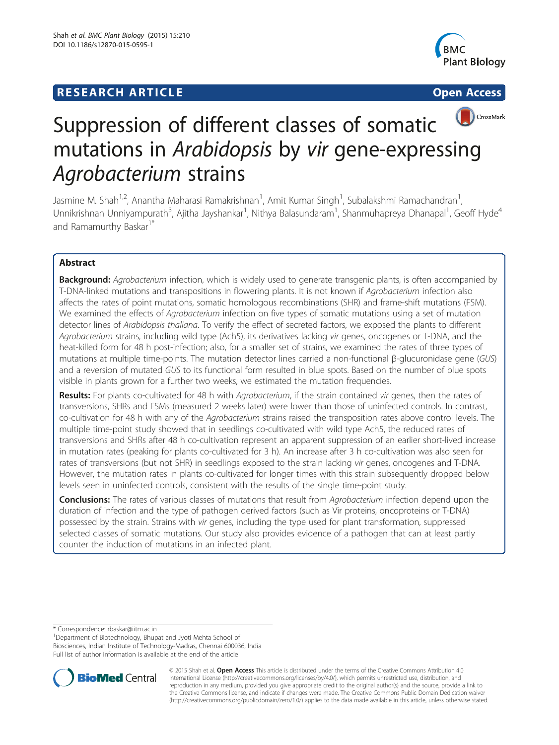## **RESEARCH ARTICLE Example 2014 12:30 The SEAR CHA RESEARCH ARTICLE**



# CrossMark Suppression of different classes of somatic mutations in Arabidopsis by vir gene-expressing Agrobacterium strains

Jasmine M. Shah<sup>1,2</sup>, Anantha Maharasi Ramakrishnan<sup>1</sup>, Amit Kumar Singh<sup>1</sup>, Subalakshmi Ramachandran<sup>1</sup> , Unnikrishnan Unniyampurath<sup>3</sup>, Ajitha Jayshankar<sup>1</sup>, Nithya Balasundaram<sup>1</sup>, Shanmuhapreya Dhanapal<sup>1</sup>, Geoff Hyde<sup>4</sup> and Ramamurthy Baskar<sup>1\*</sup>

## Abstract

Background: Agrobacterium infection, which is widely used to generate transgenic plants, is often accompanied by T-DNA-linked mutations and transpositions in flowering plants. It is not known if Agrobacterium infection also affects the rates of point mutations, somatic homologous recombinations (SHR) and frame-shift mutations (FSM). We examined the effects of Agrobacterium infection on five types of somatic mutations using a set of mutation detector lines of Arabidopsis thaliana. To verify the effect of secreted factors, we exposed the plants to different Agrobacterium strains, including wild type (Ach5), its derivatives lacking vir genes, oncogenes or T-DNA, and the heat-killed form for 48 h post-infection; also, for a smaller set of strains, we examined the rates of three types of mutations at multiple time-points. The mutation detector lines carried a non-functional β-glucuronidase gene (GUS) and a reversion of mutated GUS to its functional form resulted in blue spots. Based on the number of blue spots visible in plants grown for a further two weeks, we estimated the mutation frequencies.

Results: For plants co-cultivated for 48 h with Agrobacterium, if the strain contained vir genes, then the rates of transversions, SHRs and FSMs (measured 2 weeks later) were lower than those of uninfected controls. In contrast, co-cultivation for 48 h with any of the Agrobacterium strains raised the transposition rates above control levels. The multiple time-point study showed that in seedlings co-cultivated with wild type Ach5, the reduced rates of transversions and SHRs after 48 h co-cultivation represent an apparent suppression of an earlier short-lived increase in mutation rates (peaking for plants co-cultivated for 3 h). An increase after 3 h co-cultivation was also seen for rates of transversions (but not SHR) in seedlings exposed to the strain lacking vir genes, oncogenes and T-DNA. However, the mutation rates in plants co-cultivated for longer times with this strain subsequently dropped below levels seen in uninfected controls, consistent with the results of the single time-point study.

**Conclusions:** The rates of various classes of mutations that result from Agrobacterium infection depend upon the duration of infection and the type of pathogen derived factors (such as Vir proteins, oncoproteins or T-DNA) possessed by the strain. Strains with vir genes, including the type used for plant transformation, suppressed selected classes of somatic mutations. Our study also provides evidence of a pathogen that can at least partly counter the induction of mutations in an infected plant.

\* Correspondence: [rbaskar@iitm.ac.in](mailto:rbaskar@iitm.ac.in) <sup>1</sup>

<sup>1</sup>Department of Biotechnology, Bhupat and Jyoti Mehta School of Biosciences, Indian Institute of Technology-Madras, Chennai 600036, India Full list of author information is available at the end of the article



© 2015 Shah et al. Open Access This article is distributed under the terms of the Creative Commons Attribution 4.0 International License [\(http://creativecommons.org/licenses/by/4.0/](http://creativecommons.org/licenses/by/4.0/)), which permits unrestricted use, distribution, and reproduction in any medium, provided you give appropriate credit to the original author(s) and the source, provide a link to the Creative Commons license, and indicate if changes were made. The Creative Commons Public Domain Dedication waiver [\(http://creativecommons.org/publicdomain/zero/1.0/](http://creativecommons.org/publicdomain/zero/1.0/)) applies to the data made available in this article, unless otherwise stated.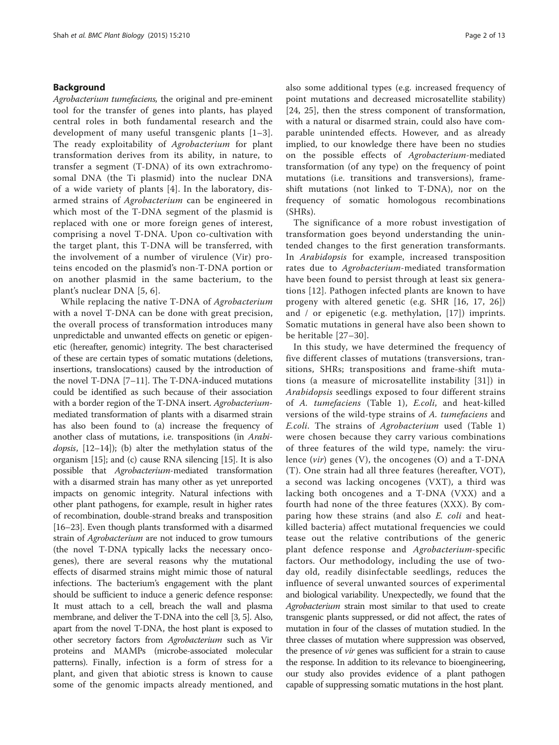## Background

Agrobacterium tumefaciens, the original and pre-eminent tool for the transfer of genes into plants, has played central roles in both fundamental research and the development of many useful transgenic plants [[1](#page-11-0)–[3](#page-11-0)]. The ready exploitability of Agrobacterium for plant transformation derives from its ability, in nature, to transfer a segment (T-DNA) of its own extrachromosomal DNA (the Ti plasmid) into the nuclear DNA of a wide variety of plants [\[4](#page-11-0)]. In the laboratory, disarmed strains of Agrobacterium can be engineered in which most of the T-DNA segment of the plasmid is replaced with one or more foreign genes of interest, comprising a novel T-DNA. Upon co-cultivation with the target plant, this T-DNA will be transferred, with the involvement of a number of virulence (Vir) proteins encoded on the plasmid's non-T-DNA portion or on another plasmid in the same bacterium, to the plant's nuclear DNA [[5, 6](#page-11-0)].

While replacing the native T-DNA of Agrobacterium with a novel T-DNA can be done with great precision, the overall process of transformation introduces many unpredictable and unwanted effects on genetic or epigenetic (hereafter, genomic) integrity. The best characterised of these are certain types of somatic mutations (deletions, insertions, translocations) caused by the introduction of the novel T-DNA [\[7](#page-11-0)–[11](#page-11-0)]. The T-DNA-induced mutations could be identified as such because of their association with a border region of the T-DNA insert. Agrobacteriummediated transformation of plants with a disarmed strain has also been found to (a) increase the frequency of another class of mutations, i.e. transpositions (in Arabi*dopsis*,  $[12-14]$  $[12-14]$  $[12-14]$  $[12-14]$ ; (b) alter the methylation status of the organism [\[15\]](#page-11-0); and (c) cause RNA silencing [[15](#page-11-0)]. It is also possible that Agrobacterium-mediated transformation with a disarmed strain has many other as yet unreported impacts on genomic integrity. Natural infections with other plant pathogens, for example, result in higher rates of recombination, double-strand breaks and transposition [[16](#page-11-0)–[23\]](#page-11-0). Even though plants transformed with a disarmed strain of *Agrobacterium* are not induced to grow tumours (the novel T-DNA typically lacks the necessary oncogenes), there are several reasons why the mutational effects of disarmed strains might mimic those of natural infections. The bacterium's engagement with the plant should be sufficient to induce a generic defence response: It must attach to a cell, breach the wall and plasma membrane, and deliver the T-DNA into the cell [\[3, 5](#page-11-0)]. Also, apart from the novel T-DNA, the host plant is exposed to other secretory factors from Agrobacterium such as Vir proteins and MAMPs (microbe-associated molecular patterns). Finally, infection is a form of stress for a plant, and given that abiotic stress is known to cause some of the genomic impacts already mentioned, and also some additional types (e.g. increased frequency of point mutations and decreased microsatellite stability) [[24](#page-11-0), [25](#page-11-0)], then the stress component of transformation, with a natural or disarmed strain, could also have comparable unintended effects. However, and as already implied, to our knowledge there have been no studies on the possible effects of Agrobacterium-mediated transformation (of any type) on the frequency of point mutations (i.e. transitions and transversions), frameshift mutations (not linked to T-DNA), nor on the frequency of somatic homologous recombinations (SHRs).

The significance of a more robust investigation of transformation goes beyond understanding the unintended changes to the first generation transformants. In Arabidopsis for example, increased transposition rates due to Agrobacterium-mediated transformation have been found to persist through at least six generations [[12](#page-11-0)]. Pathogen infected plants are known to have progeny with altered genetic (e.g. SHR [[16](#page-11-0), [17, 26](#page-11-0)]) and / or epigenetic (e.g. methylation, [[17\]](#page-11-0)) imprints. Somatic mutations in general have also been shown to be heritable [[27](#page-11-0)–[30\]](#page-12-0).

In this study, we have determined the frequency of five different classes of mutations (transversions, transitions, SHRs; transpositions and frame-shift mutations (a measure of microsatellite instability [[31](#page-12-0)]) in Arabidopsis seedlings exposed to four different strains of A. tumefaciens (Table [1\)](#page-2-0), E.coli, and heat-killed versions of the wild-type strains of A. tumefaciens and E.coli. The strains of Agrobacterium used (Table [1](#page-2-0)) were chosen because they carry various combinations of three features of the wild type, namely: the virulence (vir) genes (V), the oncogenes (O) and a T-DNA (T). One strain had all three features (hereafter, VOT), a second was lacking oncogenes (VXT), a third was lacking both oncogenes and a T-DNA (VXX) and a fourth had none of the three features (XXX). By comparing how these strains (and also E. coli and heatkilled bacteria) affect mutational frequencies we could tease out the relative contributions of the generic plant defence response and Agrobacterium-specific factors. Our methodology, including the use of twoday old, readily disinfectable seedlings, reduces the influence of several unwanted sources of experimental and biological variability. Unexpectedly, we found that the Agrobacterium strain most similar to that used to create transgenic plants suppressed, or did not affect, the rates of mutation in four of the classes of mutation studied. In the three classes of mutation where suppression was observed, the presence of *vir* genes was sufficient for a strain to cause the response. In addition to its relevance to bioengineering, our study also provides evidence of a plant pathogen capable of suppressing somatic mutations in the host plant.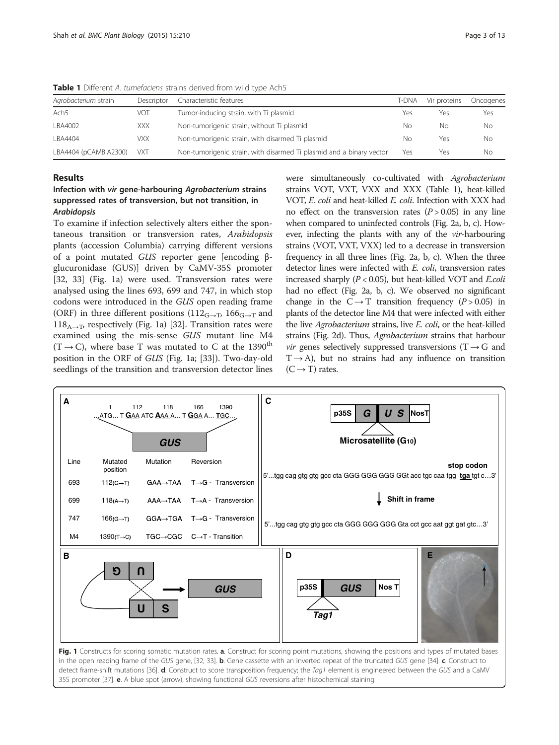| Agrobacterium strain  | Descriptor | Characteristic features                                              | t-dna | Vir proteins | Oncogenes |
|-----------------------|------------|----------------------------------------------------------------------|-------|--------------|-----------|
| Ach <sub>5</sub>      | VOT        | Tumor-inducing strain, with Ti plasmid                               | Yes   | Yes          | Yes       |
| LBA4002               | <b>XXX</b> | Non-tumorigenic strain, without Ti plasmid                           | Nο    | No           | No.       |
| LBA4404               | <b>VXX</b> | Non-tumorigenic strain, with disarmed Ti plasmid                     | No    | Yes          | No.       |
| LBA4404 (pCAMBIA2300) | <b>VXT</b> | Non-tumorigenic strain, with disarmed Ti plasmid and a binary vector | Yes   | Yes          | No.       |

<span id="page-2-0"></span>**Table 1** Different A. tumefaciens strains derived from wild type Ach5

#### Results

## Infection with vir gene-harbouring Agrobacterium strains suppressed rates of transversion, but not transition, in Arabidopsis

To examine if infection selectively alters either the spontaneous transition or transversion rates, Arabidopsis plants (accession Columbia) carrying different versions of a point mutated GUS reporter gene [encoding βglucuronidase (GUS)] driven by CaMV-35S promoter [[32, 33](#page-12-0)] (Fig. 1a) were used. Transversion rates were analysed using the lines 693, 699 and 747, in which stop codons were introduced in the GUS open reading frame (ORF) in three different positions ( $112<sub>G\rightarrow T</sub>$ ,  $166<sub>G\rightarrow T</sub>$  and  $118_{A\rightarrow T}$ , respectively (Fig. 1a) [\[32\]](#page-12-0). Transition rates were examined using the mis-sense GUS mutant line M4  $(T \rightarrow C)$ , where base T was mutated to C at the 1390<sup>th</sup> position in the ORF of GUS (Fig. 1a; [\[33](#page-12-0)]). Two-day-old seedlings of the transition and transversion detector lines were simultaneously co-cultivated with Agrobacterium strains VOT, VXT, VXX and XXX (Table 1), heat-killed VOT, E. coli and heat-killed E. coli. Infection with XXX had no effect on the transversion rates  $(P > 0.05)$  in any line when compared to uninfected controls (Fig. [2a, b, c](#page-3-0)). However, infecting the plants with any of the vir-harbouring strains (VOT, VXT, VXX) led to a decrease in transversion frequency in all three lines (Fig. [2a, b, c\)](#page-3-0). When the three detector lines were infected with E. coli, transversion rates increased sharply  $(P < 0.05)$ , but heat-killed VOT and E.coli had no effect (Fig. [2a, b, c\)](#page-3-0). We observed no significant change in the  $C \rightarrow T$  transition frequency (P > 0.05) in plants of the detector line M4 that were infected with either the live Agrobacterium strains, live E. coli, or the heat-killed strains (Fig. [2d\)](#page-3-0). Thus, Agrobacterium strains that harbour *vir* genes selectively suppressed transversions (T  $\rightarrow$  G and  $T \rightarrow A$ ), but no strains had any influence on transition  $(C \rightarrow T)$  rates.

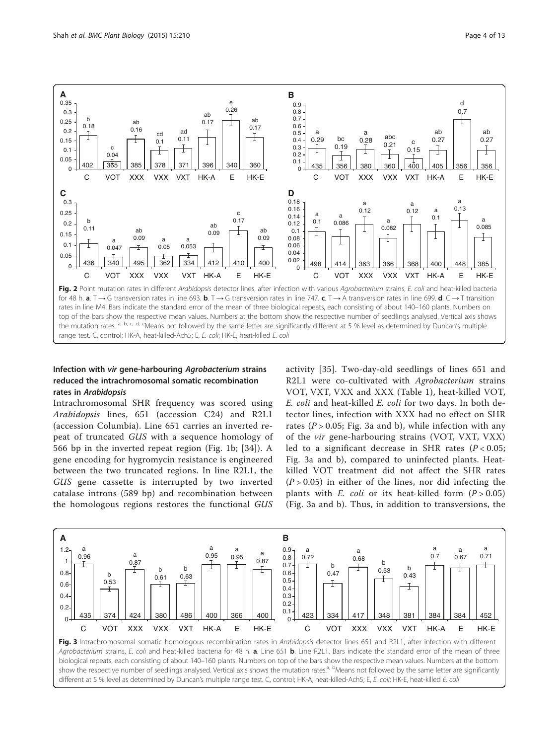<span id="page-3-0"></span>

## Infection with vir gene-harbouring Agrobacterium strains reduced the intrachromosomal somatic recombination rates in Arabidopsis

Intrachromosomal SHR frequency was scored using Arabidopsis lines, 651 (accession C24) and R2L1 (accession Columbia). Line 651 carries an inverted repeat of truncated GUS with a sequence homology of 566 bp in the inverted repeat region (Fig. [1b](#page-2-0); [[34\]](#page-12-0)). A gene encoding for hygromycin resistance is engineered between the two truncated regions. In line R2L1, the GUS gene cassette is interrupted by two inverted catalase introns (589 bp) and recombination between the homologous regions restores the functional GUS

activity [\[35\]](#page-12-0). Two-day-old seedlings of lines 651 and R2L1 were co-cultivated with Agrobacterium strains VOT, VXT, VXX and XXX (Table [1](#page-2-0)), heat-killed VOT, E. coli and heat-killed E. coli for two days. In both detector lines, infection with XXX had no effect on SHR rates ( $P > 0.05$ ; Fig. 3a and b), while infection with any of the vir gene-harbouring strains (VOT, VXT, VXX) led to a significant decrease in SHR rates  $(P < 0.05$ ; Fig. 3a and b), compared to uninfected plants. Heatkilled VOT treatment did not affect the SHR rates  $(P > 0.05)$  in either of the lines, nor did infecting the plants with *E. coli* or its heat-killed form  $(P > 0.05)$ (Fig. 3a and b). Thus, in addition to transversions, the



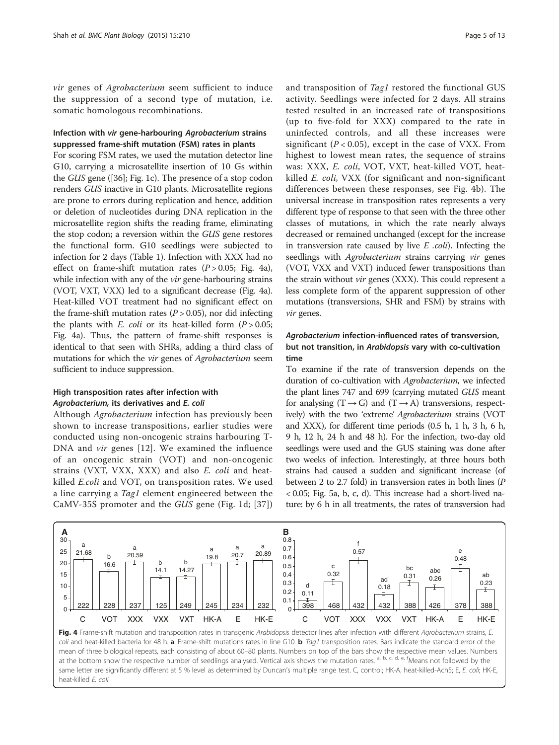vir genes of Agrobacterium seem sufficient to induce the suppression of a second type of mutation, i.e. somatic homologous recombinations.

## Infection with vir gene-harbouring Agrobacterium strains suppressed frame-shift mutation (FSM) rates in plants

For scoring FSM rates, we used the mutation detector line G10, carrying a microsatellite insertion of 10 Gs within the GUS gene ([\[36\]](#page-12-0); Fig. [1c](#page-2-0)). The presence of a stop codon renders GUS inactive in G10 plants. Microsatellite regions are prone to errors during replication and hence, addition or deletion of nucleotides during DNA replication in the microsatellite region shifts the reading frame, eliminating the stop codon; a reversion within the GUS gene restores the functional form. G10 seedlings were subjected to infection for 2 days (Table [1](#page-2-0)). Infection with XXX had no effect on frame-shift mutation rates  $(P > 0.05;$  Fig. 4a), while infection with any of the *vir* gene-harbouring strains (VOT, VXT, VXX) led to a significant decrease (Fig. 4a). Heat-killed VOT treatment had no significant effect on the frame-shift mutation rates  $(P > 0.05)$ , nor did infecting the plants with E. coli or its heat-killed form  $(P > 0.05$ ; Fig. 4a). Thus, the pattern of frame-shift responses is identical to that seen with SHRs, adding a third class of mutations for which the vir genes of Agrobacterium seem sufficient to induce suppression.

## High transposition rates after infection with Agrobacterium, its derivatives and E. coli

Although Agrobacterium infection has previously been shown to increase transpositions, earlier studies were conducted using non-oncogenic strains harbouring T-DNA and vir genes [[12](#page-11-0)]. We examined the influence of an oncogenic strain (VOT) and non-oncogenic strains (VXT, VXX, XXX) and also E. coli and heatkilled E.coli and VOT, on transposition rates. We used a line carrying a *Tag1* element engineered between the CaMV-35S promoter and the GUS gene (Fig. [1d;](#page-2-0) [[37](#page-12-0)])

and transposition of Tag1 restored the functional GUS activity. Seedlings were infected for 2 days. All strains tested resulted in an increased rate of transpositions (up to five-fold for XXX) compared to the rate in uninfected controls, and all these increases were significant ( $P < 0.05$ ), except in the case of VXX. From highest to lowest mean rates, the sequence of strains was: XXX, E. coli, VOT, VXT, heat-killed VOT, heatkilled E. coli, VXX (for significant and non-significant differences between these responses, see Fig. 4b). The universal increase in transposition rates represents a very different type of response to that seen with the three other classes of mutations, in which the rate nearly always decreased or remained unchanged (except for the increase in transversion rate caused by live  $E$  .coli). Infecting the seedlings with Agrobacterium strains carrying vir genes (VOT, VXX and VXT) induced fewer transpositions than the strain without vir genes (XXX). This could represent a less complete form of the apparent suppression of other mutations (transversions, SHR and FSM) by strains with vir genes.

## Agrobacterium infection-influenced rates of transversion, but not transition, in Arabidopsis vary with co-cultivation time

To examine if the rate of transversion depends on the duration of co-cultivation with Agrobacterium, we infected the plant lines 747 and 699 (carrying mutated GUS meant for analysing  $(T \rightarrow G)$  and  $(T \rightarrow A)$  transversions, respectively) with the two 'extreme' Agrobacterium strains (VOT and XXX), for different time periods (0.5 h, 1 h, 3 h, 6 h, 9 h, 12 h, 24 h and 48 h). For the infection, two-day old seedlings were used and the GUS staining was done after two weeks of infection. Interestingly, at three hours both strains had caused a sudden and significant increase (of between 2 to 2.7 fold) in transversion rates in both lines (P < 0.05; Fig. [5a, b, c, d](#page-5-0)). This increase had a short-lived nature: by 6 h in all treatments, the rates of transversion had



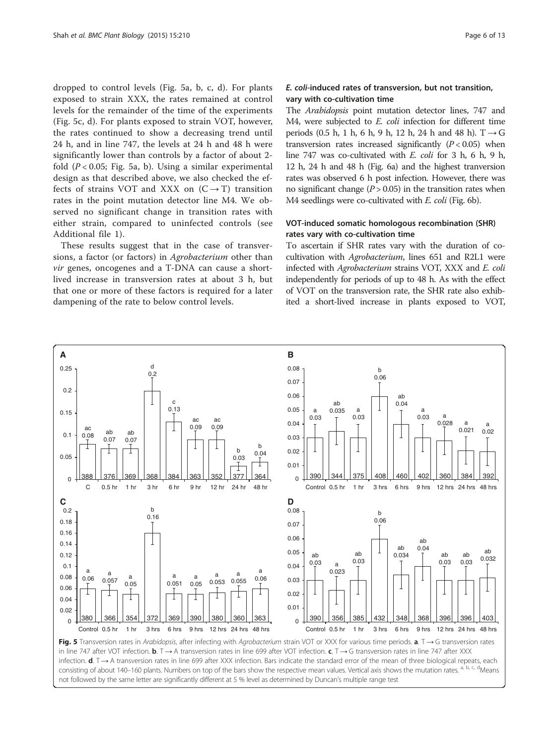<span id="page-5-0"></span>dropped to control levels (Fig. 5a, b, c, d). For plants exposed to strain XXX, the rates remained at control levels for the remainder of the time of the experiments (Fig. 5c, d). For plants exposed to strain VOT, however, the rates continued to show a decreasing trend until 24 h, and in line 747, the levels at 24 h and 48 h were significantly lower than controls by a factor of about 2 fold  $(P < 0.05$ ; Fig. 5a, b). Using a similar experimental design as that described above, we also checked the effects of strains VOT and XXX on  $(C \rightarrow T)$  transition rates in the point mutation detector line M4. We observed no significant change in transition rates with either strain, compared to uninfected controls (see Additional file [1](#page-10-0)).

These results suggest that in the case of transversions, a factor (or factors) in Agrobacterium other than vir genes, oncogenes and a T-DNA can cause a shortlived increase in transversion rates at about 3 h, but that one or more of these factors is required for a later dampening of the rate to below control levels.

## E. coli-induced rates of transversion, but not transition, vary with co-cultivation time

The Arabidopsis point mutation detector lines, 747 and M4, were subjected to E. coli infection for different time periods (0.5 h, 1 h, 6 h, 9 h, 12 h, 24 h and 48 h). T → G transversion rates increased significantly  $(P < 0.05)$  when line 747 was co-cultivated with E. coli for 3 h, 6 h, 9 h, 12 h, 24 h and 48 h (Fig. [6a](#page-6-0)) and the highest tranversion rates was observed 6 h post infection. However, there was no significant change  $(P > 0.05)$  in the transition rates when M4 seedlings were co-cultivated with E. coli (Fig. [6b\)](#page-6-0).

## VOT-induced somatic homologous recombination (SHR) rates vary with co-cultivation time

To ascertain if SHR rates vary with the duration of cocultivation with Agrobacterium, lines 651 and R2L1 were infected with Agrobacterium strains VOT, XXX and E. coli independently for periods of up to 48 h. As with the effect of VOT on the transversion rate, the SHR rate also exhibited a short-lived increase in plants exposed to VOT,



consisting of about 140–160 plants. Numbers on top of the bars show the respective mean values. Vertical axis shows the mutation rates. <sup>a, b, c, d</sup>Means not followed by the same letter are significantly different at 5 % level as determined by Duncan's multiple range test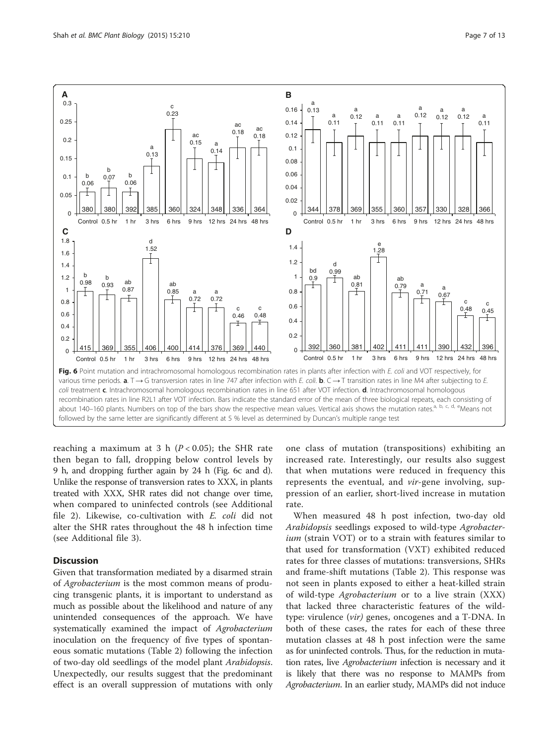<span id="page-6-0"></span>

reaching a maximum at 3 h ( $P < 0.05$ ); the SHR rate then began to fall, dropping below control levels by 9 h, and dropping further again by 24 h (Fig. 6c and d). Unlike the response of transversion rates to XXX, in plants treated with XXX, SHR rates did not change over time, when compared to uninfected controls (see Additional file [2](#page-11-0)). Likewise, co-cultivation with E. coli did not alter the SHR rates throughout the 48 h infection time (see Additional file [3](#page-11-0)).

## **Discussion**

Given that transformation mediated by a disarmed strain of Agrobacterium is the most common means of producing transgenic plants, it is important to understand as much as possible about the likelihood and nature of any unintended consequences of the approach. We have systematically examined the impact of Agrobacterium inoculation on the frequency of five types of spontaneous somatic mutations (Table [2](#page-7-0)) following the infection of two-day old seedlings of the model plant Arabidopsis. Unexpectedly, our results suggest that the predominant effect is an overall suppression of mutations with only

one class of mutation (transpositions) exhibiting an increased rate. Interestingly, our results also suggest that when mutations were reduced in frequency this represents the eventual, and vir-gene involving, suppression of an earlier, short-lived increase in mutation rate.

When measured 48 h post infection, two-day old Arabidopsis seedlings exposed to wild-type Agrobacterium (strain VOT) or to a strain with features similar to that used for transformation (VXT) exhibited reduced rates for three classes of mutations: transversions, SHRs and frame-shift mutations (Table [2](#page-7-0)). This response was not seen in plants exposed to either a heat-killed strain of wild-type Agrobacterium or to a live strain (XXX) that lacked three characteristic features of the wildtype: virulence (vir) genes, oncogenes and a T-DNA. In both of these cases, the rates for each of these three mutation classes at 48 h post infection were the same as for uninfected controls. Thus, for the reduction in mutation rates, live Agrobacterium infection is necessary and it is likely that there was no response to MAMPs from Agrobacterium. In an earlier study, MAMPs did not induce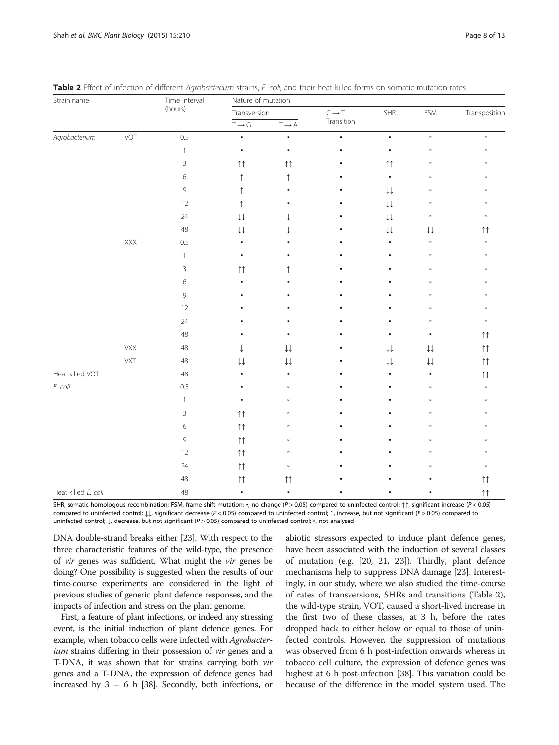| Strain name         |            | Time interval<br>(hours) | Nature of mutation     |                        |                   |                        |                        |                    |  |
|---------------------|------------|--------------------------|------------------------|------------------------|-------------------|------------------------|------------------------|--------------------|--|
|                     |            |                          | Transversion           |                        | $C \rightarrow T$ | SHR                    | FSM                    | Transposition      |  |
|                     |            |                          | $T \rightarrow G$      | $T \rightarrow A$      | Transition        |                        |                        |                    |  |
| Agrobacterium       | VOT        | 0.5                      | $\blacksquare$         | ٠                      | $\blacksquare$    | $\blacksquare$         | $\blacksquare$         | $\hbox{ }$         |  |
|                     |            | $\mathbf{1}$             | ٠                      | $\blacksquare$         | ٠                 | $\blacksquare$         | $\Box$                 | $\hbox{ }$         |  |
|                     |            | 3                        | $\uparrow\uparrow$     | $\uparrow \uparrow$    |                   | $\uparrow\uparrow$     | $\Box$                 | $\hbox{ }$         |  |
|                     |            | 6                        | $\uparrow$             | ↑                      | ٠                 | $\blacksquare$         | $\Box$                 | $\hbox{ }$         |  |
|                     |            | 9                        | ↑                      |                        |                   | $\downarrow\downarrow$ | $\Box$                 | $\hbox{ }$         |  |
|                     |            | 12                       | ↑                      |                        |                   | $\downarrow\downarrow$ | $\Box$                 | $\hbox{ }$         |  |
|                     |            | 24                       | $\downarrow\downarrow$ |                        |                   | $\downarrow\downarrow$ | $\Box$                 | $\hbox{ }$         |  |
|                     |            | 48                       | $\downarrow\downarrow$ |                        |                   | $\downarrow\downarrow$ | $\downarrow\downarrow$ | $\uparrow\uparrow$ |  |
|                     | XXX        | 0.5                      |                        |                        |                   |                        | $\Box$                 | $\hbox{ }$         |  |
|                     |            | $\mathbf{1}$             | ٠                      |                        |                   |                        | $\Box$                 | $\hbox{ }$         |  |
|                     |            | 3                        | $\uparrow\uparrow$     |                        |                   |                        | $\Box$                 | $\hbox{ }$         |  |
|                     |            | 6                        | ٠                      |                        |                   |                        | $\Box$                 | $\hbox{ }$         |  |
|                     |            | 9                        | ٠                      |                        |                   |                        | $\Box$                 | $\hbox{ }$         |  |
|                     |            | 12                       |                        |                        |                   |                        | $\Box$                 | $\Box$             |  |
|                     |            | 24                       |                        |                        |                   |                        | $\Box$                 | $\hbox{ }$         |  |
|                     |            | 48                       |                        | ٠                      | ٠                 | ٠                      | ٠                      | $\uparrow\uparrow$ |  |
|                     | <b>VXX</b> | 48                       | $\downarrow$           | $\downarrow\downarrow$ |                   | $\downarrow\downarrow$ | $\downarrow\downarrow$ | $\uparrow\uparrow$ |  |
|                     | VXT        | $48\,$                   | $\downarrow\downarrow$ | $\downarrow\downarrow$ |                   | $\downarrow\downarrow$ | $\downarrow\downarrow$ | $\uparrow\uparrow$ |  |
| Heat-killed VOT     |            | 48                       | ٠                      | $\blacksquare$         |                   | ٠                      | $\blacksquare$         | $\uparrow\uparrow$ |  |
| E. coli             |            | 0.5                      |                        | $\Box$                 |                   | ٠                      | $\Box$                 | $\hbox{ }$         |  |
|                     |            | $\mathbf{1}$             | ٠                      | $\Box$                 | ٠                 | ٠                      | $\Box$                 | $\hbox{ }$         |  |
|                     |            | 3                        | $\uparrow\uparrow$     | $\Box$                 |                   |                        | $\Box$                 | $\hbox{ }$         |  |
|                     |            | 6                        | $\uparrow\uparrow$     | $\Box$                 |                   |                        | $\Box$                 | $\hbox{ }$         |  |
|                     |            | 9                        | $\uparrow\uparrow$     | $\Box$                 |                   |                        | $\Box$                 | $\hbox{ }$         |  |
|                     |            | 12                       | $\uparrow\uparrow$     | $\Box$                 |                   |                        | $\Box$                 | $\,$               |  |
|                     |            | 24                       | $\uparrow\uparrow$     | $\Box$                 |                   |                        | $\Box$                 | $\hbox{ }$         |  |
|                     |            | 48                       | $\uparrow \uparrow$    | $\uparrow \uparrow$    |                   |                        |                        | $\uparrow\uparrow$ |  |
| Heat killed E. coli |            | 48                       | ٠                      | ٠                      |                   |                        |                        | $\uparrow\uparrow$ |  |

<span id="page-7-0"></span>

| Table 2 Effect of infection of different Agrobacterium strains, E. coli, and their heat-killed forms on somatic mutation rates |  |  |
|--------------------------------------------------------------------------------------------------------------------------------|--|--|
|--------------------------------------------------------------------------------------------------------------------------------|--|--|

SHR, somatic homologous recombination; FSM, frame-shift mutation; ▪, no change (P > 0.05) compared to uninfected control; ↑↑, significant increase (P < 0.05) compared to uninfected control; ↓↓, significant decrease (P < 0.05) compared to uninfected control; ↑, increase, but not significant (P > 0.05) compared to uninfected control; ↓, decrease, but not significant (P > 0.05) compared to uninfected control; ▫, not analysed

DNA double-strand breaks either [\[23\]](#page-11-0). With respect to the three characteristic features of the wild-type, the presence of vir genes was sufficient. What might the vir genes be doing? One possibility is suggested when the results of our time-course experiments are considered in the light of previous studies of generic plant defence responses, and the impacts of infection and stress on the plant genome.

First, a feature of plant infections, or indeed any stressing event, is the initial induction of plant defence genes. For example, when tobacco cells were infected with *Agrobacter*ium strains differing in their possession of *vir* genes and a T-DNA, it was shown that for strains carrying both vir genes and a T-DNA, the expression of defence genes had increased by 3 – 6 h [[38](#page-12-0)]. Secondly, both infections, or

abiotic stressors expected to induce plant defence genes, have been associated with the induction of several classes of mutation (e.g. [[20](#page-11-0), [21, 23](#page-11-0)]). Thirdly, plant defence mechanisms help to suppress DNA damage [[23\]](#page-11-0). Interestingly, in our study, where we also studied the time-course of rates of transversions, SHRs and transitions (Table 2), the wild-type strain, VOT, caused a short-lived increase in the first two of these classes, at 3 h, before the rates dropped back to either below or equal to those of uninfected controls. However, the suppression of mutations was observed from 6 h post-infection onwards whereas in tobacco cell culture, the expression of defence genes was highest at 6 h post-infection [\[38\]](#page-12-0). This variation could be because of the difference in the model system used. The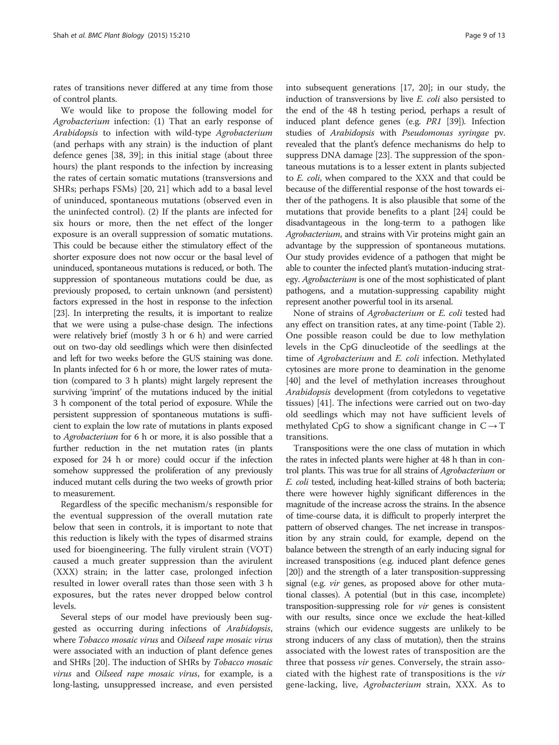rates of transitions never differed at any time from those of control plants.

We would like to propose the following model for Agrobacterium infection: (1) That an early response of Arabidopsis to infection with wild-type Agrobacterium (and perhaps with any strain) is the induction of plant defence genes [[38](#page-12-0), [39](#page-12-0)]; in this initial stage (about three hours) the plant responds to the infection by increasing the rates of certain somatic mutations (transversions and SHRs; perhaps FSMs) [\[20](#page-11-0), [21](#page-11-0)] which add to a basal level of uninduced, spontaneous mutations (observed even in the uninfected control). (2) If the plants are infected for six hours or more, then the net effect of the longer exposure is an overall suppression of somatic mutations. This could be because either the stimulatory effect of the shorter exposure does not now occur or the basal level of uninduced, spontaneous mutations is reduced, or both. The suppression of spontaneous mutations could be due, as previously proposed, to certain unknown (and persistent) factors expressed in the host in response to the infection [[23](#page-11-0)]. In interpreting the results, it is important to realize that we were using a pulse-chase design. The infections were relatively brief (mostly 3 h or 6 h) and were carried out on two-day old seedlings which were then disinfected and left for two weeks before the GUS staining was done. In plants infected for 6 h or more, the lower rates of mutation (compared to 3 h plants) might largely represent the surviving 'imprint' of the mutations induced by the initial 3 h component of the total period of exposure. While the persistent suppression of spontaneous mutations is sufficient to explain the low rate of mutations in plants exposed to Agrobacterium for 6 h or more, it is also possible that a further reduction in the net mutation rates (in plants exposed for 24 h or more) could occur if the infection somehow suppressed the proliferation of any previously induced mutant cells during the two weeks of growth prior to measurement.

Regardless of the specific mechanism/s responsible for the eventual suppression of the overall mutation rate below that seen in controls, it is important to note that this reduction is likely with the types of disarmed strains used for bioengineering. The fully virulent strain (VOT) caused a much greater suppression than the avirulent (XXX) strain; in the latter case, prolonged infection resulted in lower overall rates than those seen with 3 h exposures, but the rates never dropped below control levels.

Several steps of our model have previously been suggested as occurring during infections of Arabidopsis, where Tobacco mosaic virus and Oilseed rape mosaic virus were associated with an induction of plant defence genes and SHRs [\[20\]](#page-11-0). The induction of SHRs by Tobacco mosaic virus and Oilseed rape mosaic virus, for example, is a long-lasting, unsuppressed increase, and even persisted into subsequent generations [[17](#page-11-0), [20\]](#page-11-0); in our study, the induction of transversions by live E. coli also persisted to the end of the 48 h testing period, perhaps a result of induced plant defence genes (e.g. PR1 [\[39\]](#page-12-0)). Infection studies of Arabidopsis with Pseudomonas syringae pv. revealed that the plant's defence mechanisms do help to suppress DNA damage [\[23\]](#page-11-0). The suppression of the spontaneous mutations is to a lesser extent in plants subjected to E. coli, when compared to the XXX and that could be because of the differential response of the host towards either of the pathogens. It is also plausible that some of the mutations that provide benefits to a plant [\[24\]](#page-11-0) could be disadvantageous in the long-term to a pathogen like Agrobacterium, and strains with Vir proteins might gain an advantage by the suppression of spontaneous mutations. Our study provides evidence of a pathogen that might be able to counter the infected plant's mutation-inducing strategy. Agrobacterium is one of the most sophisticated of plant pathogens, and a mutation-suppressing capability might represent another powerful tool in its arsenal.

None of strains of Agrobacterium or E. coli tested had any effect on transition rates, at any time-point (Table [2](#page-7-0)). One possible reason could be due to low methylation levels in the CpG dinucleotide of the seedlings at the time of Agrobacterium and E. coli infection. Methylated cytosines are more prone to deamination in the genome [[40\]](#page-12-0) and the level of methylation increases throughout Arabidopsis development (from cotyledons to vegetative tissues) [[41\]](#page-12-0). The infections were carried out on two-day old seedlings which may not have sufficient levels of methylated CpG to show a significant change in  $C \rightarrow T$ transitions.

Transpositions were the one class of mutation in which the rates in infected plants were higher at 48 h than in control plants. This was true for all strains of Agrobacterium or E. coli tested, including heat-killed strains of both bacteria; there were however highly significant differences in the magnitude of the increase across the strains. In the absence of time-course data, it is difficult to properly interpret the pattern of observed changes. The net increase in transposition by any strain could, for example, depend on the balance between the strength of an early inducing signal for increased transpositions (e.g. induced plant defence genes [[20](#page-11-0)]) and the strength of a later transposition-suppressing signal (e.g. *vir* genes, as proposed above for other mutational classes). A potential (but in this case, incomplete) transposition-suppressing role for vir genes is consistent with our results, since once we exclude the heat-killed strains (which our evidence suggests are unlikely to be strong inducers of any class of mutation), then the strains associated with the lowest rates of transposition are the three that possess *vir* genes. Conversely, the strain associated with the highest rate of transpositions is the vir gene-lacking, live, Agrobacterium strain, XXX. As to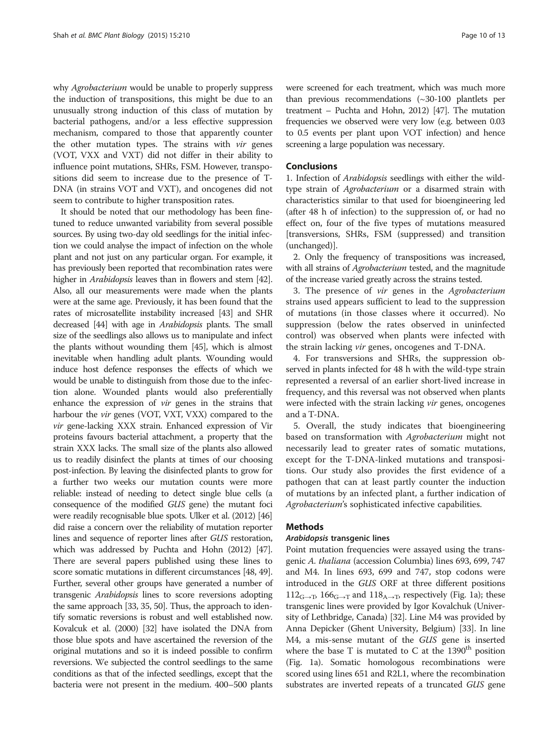why *Agrobacterium* would be unable to properly suppress the induction of transpositions, this might be due to an unusually strong induction of this class of mutation by bacterial pathogens, and/or a less effective suppression mechanism, compared to those that apparently counter the other mutation types. The strains with vir genes (VOT, VXX and VXT) did not differ in their ability to influence point mutations, SHRs, FSM. However, transpositions did seem to increase due to the presence of T-DNA (in strains VOT and VXT), and oncogenes did not seem to contribute to higher transposition rates.

It should be noted that our methodology has been finetuned to reduce unwanted variability from several possible sources. By using two-day old seedlings for the initial infection we could analyse the impact of infection on the whole plant and not just on any particular organ. For example, it has previously been reported that recombination rates were higher in *Arabidopsis* leaves than in flowers and stem [\[42](#page-12-0)]. Also, all our measurements were made when the plants were at the same age. Previously, it has been found that the rates of microsatellite instability increased [\[43](#page-12-0)] and SHR decreased [\[44\]](#page-12-0) with age in Arabidopsis plants. The small size of the seedlings also allows us to manipulate and infect the plants without wounding them [\[45\]](#page-12-0), which is almost inevitable when handling adult plants. Wounding would induce host defence responses the effects of which we would be unable to distinguish from those due to the infection alone. Wounded plants would also preferentially enhance the expression of vir genes in the strains that harbour the vir genes (VOT, VXT, VXX) compared to the vir gene-lacking XXX strain. Enhanced expression of Vir proteins favours bacterial attachment, a property that the strain XXX lacks. The small size of the plants also allowed us to readily disinfect the plants at times of our choosing post-infection. By leaving the disinfected plants to grow for a further two weeks our mutation counts were more reliable: instead of needing to detect single blue cells (a consequence of the modified GUS gene) the mutant foci were readily recognisable blue spots. Ulker et al. (2012) [\[46](#page-12-0)] did raise a concern over the reliability of mutation reporter lines and sequence of reporter lines after GUS restoration, which was addressed by Puchta and Hohn (2012) [\[47](#page-12-0)]. There are several papers published using these lines to score somatic mutations in different circumstances [\[48](#page-12-0), [49](#page-12-0)]. Further, several other groups have generated a number of transgenic Arabidopsis lines to score reversions adopting the same approach [\[33](#page-12-0), [35](#page-12-0), [50](#page-12-0)]. Thus, the approach to identify somatic reversions is robust and well established now. Kovalcuk et al. (2000) [\[32](#page-12-0)] have isolated the DNA from those blue spots and have ascertained the reversion of the original mutations and so it is indeed possible to confirm reversions. We subjected the control seedlings to the same conditions as that of the infected seedlings, except that the bacteria were not present in the medium. 400–500 plants were screened for each treatment, which was much more than previous recommendations (~30-100 plantlets per treatment – Puchta and Hohn, 2012) [\[47\]](#page-12-0). The mutation frequencies we observed were very low (e.g. between 0.03 to 0.5 events per plant upon VOT infection) and hence screening a large population was necessary.

## **Conclusions**

1. Infection of Arabidopsis seedlings with either the wildtype strain of Agrobacterium or a disarmed strain with characteristics similar to that used for bioengineering led (after 48 h of infection) to the suppression of, or had no effect on, four of the five types of mutations measured [transversions, SHRs, FSM (suppressed) and transition (unchanged)].

2. Only the frequency of transpositions was increased, with all strains of Agrobacterium tested, and the magnitude of the increase varied greatly across the strains tested.

3. The presence of vir genes in the Agrobacterium strains used appears sufficient to lead to the suppression of mutations (in those classes where it occurred). No suppression (below the rates observed in uninfected control) was observed when plants were infected with the strain lacking vir genes, oncogenes and T-DNA.

4. For transversions and SHRs, the suppression observed in plants infected for 48 h with the wild-type strain represented a reversal of an earlier short-lived increase in frequency, and this reversal was not observed when plants were infected with the strain lacking *vir* genes, oncogenes and a T-DNA.

5. Overall, the study indicates that bioengineering based on transformation with Agrobacterium might not necessarily lead to greater rates of somatic mutations, except for the T-DNA-linked mutations and transpositions. Our study also provides the first evidence of a pathogen that can at least partly counter the induction of mutations by an infected plant, a further indication of Agrobacterium's sophisticated infective capabilities.

## Methods

#### Arabidopsis transgenic lines

Point mutation frequencies were assayed using the transgenic A. thaliana (accession Columbia) lines 693, 699, 747 and M4. In lines 693, 699 and 747, stop codons were introduced in the GUS ORF at three different positions  $112<sub>G\rightarrow T</sub>$ ,  $166<sub>G\rightarrow T</sub>$  and  $118<sub>A\rightarrow T</sub>$ , respectively (Fig. [1a](#page-2-0)); these transgenic lines were provided by Igor Kovalchuk (University of Lethbridge, Canada) [[32](#page-12-0)]. Line M4 was provided by Anna Depicker (Ghent University, Belgium) [[33](#page-12-0)]. In line M4, a mis-sense mutant of the GUS gene is inserted where the base T is mutated to C at the  $1390<sup>th</sup>$  position (Fig. [1a](#page-2-0)). Somatic homologous recombinations were scored using lines 651 and R2L1, where the recombination substrates are inverted repeats of a truncated GUS gene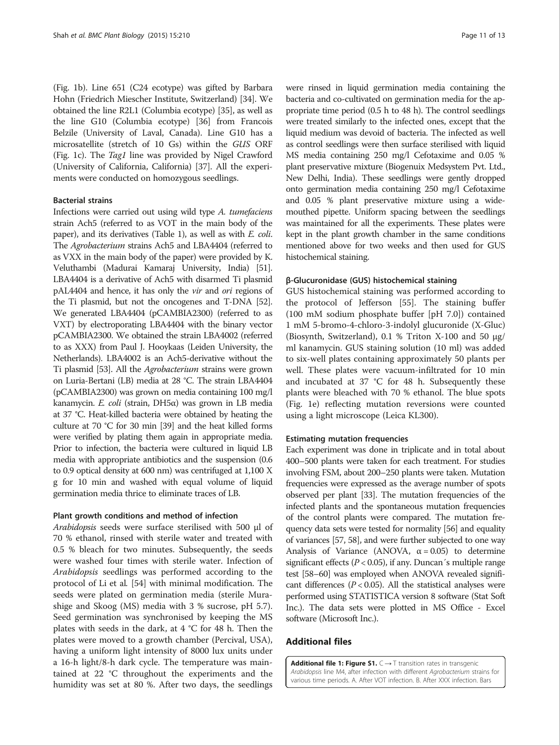<span id="page-10-0"></span>(Fig. [1b](#page-2-0)). Line 651 (C24 ecotype) was gifted by Barbara Hohn (Friedrich Miescher Institute, Switzerland) [[34](#page-12-0)]. We obtained the line R2L1 (Columbia ecotype) [\[35\]](#page-12-0), as well as the line G10 (Columbia ecotype) [[36](#page-12-0)] from Francois Belzile (University of Laval, Canada). Line G10 has a microsatellite (stretch of 10 Gs) within the GUS ORF (Fig. [1c\)](#page-2-0). The Tag1 line was provided by Nigel Crawford (University of California, California) [\[37\]](#page-12-0). All the experiments were conducted on homozygous seedlings.

#### Bacterial strains

Infections were carried out using wild type A. tumefaciens strain Ach5 (referred to as VOT in the main body of the paper), and its derivatives (Table [1\)](#page-2-0), as well as with E. coli. The Agrobacterium strains Ach5 and LBA4404 (referred to as VXX in the main body of the paper) were provided by K. Veluthambi (Madurai Kamaraj University, India) [\[51](#page-12-0)]. LBA4404 is a derivative of Ach5 with disarmed Ti plasmid pAL4404 and hence, it has only the vir and ori regions of the Ti plasmid, but not the oncogenes and T-DNA [\[52](#page-12-0)]. We generated LBA4404 (pCAMBIA2300) (referred to as VXT) by electroporating LBA4404 with the binary vector pCAMBIA2300. We obtained the strain LBA4002 (referred to as XXX) from Paul J. Hooykaas (Leiden University, the Netherlands). LBA4002 is an Ach5-derivative without the Ti plasmid [[53](#page-12-0)]. All the Agrobacterium strains were grown on Luria-Bertani (LB) media at 28 °C. The strain LBA4404 (pCAMBIA2300) was grown on media containing 100 mg/l kanamycin. E. coli (strain, DH5α) was grown in LB media at 37 °C. Heat-killed bacteria were obtained by heating the culture at 70 °C for 30 min [\[39\]](#page-12-0) and the heat killed forms were verified by plating them again in appropriate media. Prior to infection, the bacteria were cultured in liquid LB media with appropriate antibiotics and the suspension (0.6 to 0.9 optical density at 600 nm) was centrifuged at 1,100 X g for 10 min and washed with equal volume of liquid germination media thrice to eliminate traces of LB.

#### Plant growth conditions and method of infection

Arabidopsis seeds were surface sterilised with 500 μl of 70 % ethanol, rinsed with sterile water and treated with 0.5 % bleach for two minutes. Subsequently, the seeds were washed four times with sterile water. Infection of Arabidopsis seedlings was performed according to the protocol of Li et al. [\[54\]](#page-12-0) with minimal modification. The seeds were plated on germination media (sterile Murashige and Skoog (MS) media with 3 % sucrose, pH 5.7). Seed germination was synchronised by keeping the MS plates with seeds in the dark, at 4 °C for 48 h. Then the plates were moved to a growth chamber (Percival, USA), having a uniform light intensity of 8000 lux units under a 16-h light/8-h dark cycle. The temperature was maintained at 22 °C throughout the experiments and the humidity was set at 80 %. After two days, the seedlings

were rinsed in liquid germination media containing the bacteria and co-cultivated on germination media for the appropriate time period (0.5 h to 48 h). The control seedlings were treated similarly to the infected ones, except that the liquid medium was devoid of bacteria. The infected as well as control seedlings were then surface sterilised with liquid MS media containing 250 mg/l Cefotaxime and 0.05 % plant preservative mixture (Biogenuix Medsystem Pvt. Ltd., New Delhi, India). These seedlings were gently dropped onto germination media containing 250 mg/l Cefotaxime and 0.05 % plant preservative mixture using a widemouthed pipette. Uniform spacing between the seedlings was maintained for all the experiments. These plates were kept in the plant growth chamber in the same conditions mentioned above for two weeks and then used for GUS histochemical staining.

#### β-Glucuronidase (GUS) histochemical staining

GUS histochemical staining was performed according to the protocol of Jefferson [[55](#page-12-0)]. The staining buffer (100 mM sodium phosphate buffer [pH 7.0]) contained 1 mM 5-bromo-4-chloro-3-indolyl glucuronide (X-Gluc) (Biosynth, Switzerland), 0.1 % Triton X-100 and 50 μg/ ml kanamycin. GUS staining solution (10 ml) was added to six-well plates containing approximately 50 plants per well. These plates were vacuum-infiltrated for 10 min and incubated at 37 °C for 48 h. Subsequently these plants were bleached with 70 % ethanol. The blue spots (Fig. [1e](#page-2-0)) reflecting mutation reversions were counted using a light microscope (Leica KL300).

#### Estimating mutation frequencies

Each experiment was done in triplicate and in total about 400–500 plants were taken for each treatment. For studies involving FSM, about 200–250 plants were taken. Mutation frequencies were expressed as the average number of spots observed per plant [[33](#page-12-0)]. The mutation frequencies of the infected plants and the spontaneous mutation frequencies of the control plants were compared. The mutation frequency data sets were tested for normality [[56](#page-12-0)] and equality of variances [\[57](#page-12-0), [58](#page-12-0)], and were further subjected to one way Analysis of Variance (ANOVA,  $\alpha = 0.05$ ) to determine significant effects ( $P < 0.05$ ), if any. Duncan's multiple range test [[58](#page-12-0)–[60](#page-12-0)] was employed when ANOVA revealed significant differences ( $P < 0.05$ ). All the statistical analyses were performed using STATISTICA version 8 software (Stat Soft Inc.). The data sets were plotted in MS Office - Excel software (Microsoft Inc.).

## Additional files

[Additional file 1: Figure S1.](http://www.biomedcentral.com/content/supplementary/s12870-015-0595-1-s1.ppt)  $C \rightarrow T$  transition rates in transgenic Arabidopsis line M4, after infection with different Agrobacterium strains for various time periods. A. After VOT infection. B. After XXX infection. Bars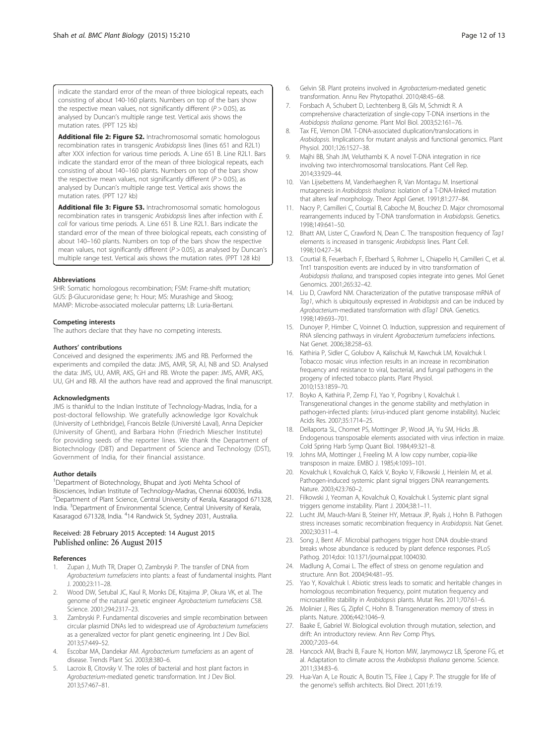<span id="page-11-0"></span>indicate the standard error of the mean of three biological repeats, each consisting of about 140-160 plants. Numbers on top of the bars show the respective mean values, not significantly different ( $P > 0.05$ ), as analysed by Duncan's multiple range test. Vertical axis shows the mutation rates. (PPT 125 kb)

[Additional file 2: Figure S2.](http://www.biomedcentral.com/content/supplementary/s12870-015-0595-1-s2.ppt) Intrachromosomal somatic homologous recombination rates in transgenic Arabidopsis lines (lines 651 and R2L1) after XXX infection for various time periods. A. Line 651 B. Line R2L1. Bars indicate the standard error of the mean of three biological repeats, each consisting of about 140–160 plants. Numbers on top of the bars show the respective mean values, not significantly different ( $P > 0.05$ ), as analysed by Duncan's multiple range test. Vertical axis shows the mutation rates. (PPT 127 kb)

[Additional file 3: Figure S3.](http://www.biomedcentral.com/content/supplementary/s12870-015-0595-1-s3.ppt) Intrachromosomal somatic homologous recombination rates in transgenic Arabidopsis lines after infection with E. coli for various time periods. A. Line 651 B. Line R2L1. Bars indicate the standard error of the mean of three biological repeats, each consisting of about 140–160 plants. Numbers on top of the bars show the respective mean values, not significantly different ( $P > 0.05$ ), as analysed by Duncan's multiple range test. Vertical axis shows the mutation rates. (PPT 128 kb)

#### Abbreviations

SHR: Somatic homologous recombination; FSM: Frame-shift mutation; GUS: β-Glucuronidase gene; h: Hour; MS: Murashige and Skoog; MAMP: Microbe-associated molecular patterns; LB: Luria-Bertani.

#### Competing interests

The authors declare that they have no competing interests.

#### Authors' contributions

Conceived and designed the experiments: JMS and RB. Performed the experiments and compiled the data: JMS, AMR, SR, AJ, NB and SD. Analysed the data: JMS, UU, AMR, AKS, GH and RB. Wrote the paper: JMS, AMR, AKS, UU, GH and RB. All the authors have read and approved the final manuscript.

#### Acknowledgments

JMS is thankful to the Indian Institute of Technology-Madras, India, for a post-doctoral fellowship. We gratefully acknowledge Igor Kovalchuk (University of Lethbridge), Francois Belzile (Université Laval), Anna Depicker (University of Ghent), and Barbara Hohn (Friedrich Miescher Institute) for providing seeds of the reporter lines. We thank the Department of Biotechnology (DBT) and Department of Science and Technology (DST), Government of India, for their financial assistance.

#### Author details

<sup>1</sup>Department of Biotechnology, Bhupat and Jyoti Mehta School of Biosciences, Indian Institute of Technology-Madras, Chennai 600036, India. <sup>2</sup>Department of Plant Science, Central University of Kerala, Kasaragod 671328, India. <sup>3</sup>Department of Environmental Science, Central University of Kerala, Kasaragod 671328, India. <sup>4</sup>14 Randwick St, Sydney 2031, Australia.

#### Received: 28 February 2015 Accepted: 14 August 2015 Published online: 26 August 2015

#### References

- 1. Zupan J, Muth TR, Draper O, Zambryski P. The transfer of DNA from Agrobacterium tumefaciens into plants: a feast of fundamental insights. Plant J. 2000;23:11–28.
- 2. Wood DW, Setubal JC, Kaul R, Monks DE, Kitajima JP, Okura VK, et al. The genome of the natural genetic engineer Agrobacterium tumefaciens C58. Science. 2001;294:2317–23.
- 3. Zambryski P. Fundamental discoveries and simple recombination between circular plasmid DNAs led to widespread use of Agrobacterium tumefaciens as a generalized vector for plant genetic engineering. Int J Dev Biol. 2013;57:449–52.
- 4. Escobar MA, Dandekar AM. Agrobacterium tumefaciens as an agent of disease. Trends Plant Sci. 2003;8:380–6.
- 5. Lacroix B, Citovsky V. The roles of bacterial and host plant factors in Agrobacterium-mediated genetic transformation. Int J Dev Biol. 2013;57:467–81.
- 7. Forsbach A, Schubert D, Lechtenberg B, Gils M, Schmidt R. A comprehensive characterization of single-copy T-DNA insertions in the Arabidopsis thaliana genome. Plant Mol Biol. 2003;52:161–76.
- Tax FE, Vernon DM. T-DNA-associated duplication/translocations in Arabidopsis. Implications for mutant analysis and functional genomics. Plant Physiol. 2001;126:1527–38.
- 9. Majhi BB, Shah JM, Veluthambi K. A novel T-DNA integration in rice involving two interchromosomal translocations. Plant Cell Rep. 2014;33:929–44.
- 10. Van Lijsebettens M, Vanderhaeghen R, Van Montagu M. Insertional mutagenesis in Arabidopsis thaliana: isolation of a T-DNA-linked mutation that alters leaf morphology. Theor Appl Genet. 1991;81:277–84.
- 11. Nacry P, Camilleri C, Courtial B, Caboche M, Bouchez D. Major chromosomal rearrangements induced by T-DNA transformation in Arabidopsis. Genetics. 1998;149:641–50.
- 12. Bhatt AM, Lister C, Crawford N, Dean C. The transposition frequency of Tag1 elements is increased in transgenic Arabidopsis lines. Plant Cell. 1998;10:427–34.
- 13. Courtial B, Feuerbach F, Eberhard S, Rohmer L, Chiapello H, Camilleri C, et al. Tnt1 transposition events are induced by in vitro transformation of Arabidopsis thaliana, and transposed copies integrate into genes. Mol Genet Genomics. 2001;265:32–42.
- 14. Liu D, Crawford NM. Characterization of the putative transposase mRNA of Tag1, which is ubiquitously expressed in Arabidopsis and can be induced by Agrobacterium-mediated transformation with dTaq1 DNA. Genetics. 1998;149:693–701.
- 15. Dunoyer P, Himber C, Voinnet O. Induction, suppression and requirement of RNA silencing pathways in virulent Agrobacterium tumefaciens infections. Nat Genet. 2006;38:258–63.
- 16. Kathiria P, Sidler C, Golubov A, Kalischuk M, Kawchuk LM, Kovalchuk I. Tobacco mosaic virus infection results in an increase in recombination frequency and resistance to viral, bacterial, and fungal pathogens in the progeny of infected tobacco plants. Plant Physiol. 2010;153:1859–70.
- 17. Boyko A, Kathiria P, Zemp FJ, Yao Y, Pogribny I, Kovalchuk I. Transgenerational changes in the genome stability and methylation in pathogen-infected plants: (virus-induced plant genome instability). Nucleic Acids Res. 2007;35:1714–25.
- 18. Dellaporta SL, Chomet PS, Mottinger JP, Wood JA, Yu SM, Hicks JB. Endogenous transposable elements associated with virus infection in maize. Cold Spring Harb Symp Quant Biol. 1984;49:321–8.
- 19. Johns MA, Mottinger J, Freeling M. A low copy number, copia-like transposon in maize. EMBO J. 1985;4:1093–101.
- 20. Kovalchuk I, Kovalchuk O, Kalck V, Boyko V, Filkowski J, Heinlein M, et al. Pathogen-induced systemic plant signal triggers DNA rearrangements. Nature. 2003;423:760–2.
- 21. Filkowski J, Yeoman A, Kovalchuk O, Kovalchuk I. Systemic plant signal triggers genome instability. Plant J. 2004;38:1–11.
- 22. Lucht JM, Mauch-Mani B, Steiner HY, Metraux JP, Ryals J, Hohn B. Pathogen stress increases somatic recombination frequency in Arabidopsis. Nat Genet. 2002;30:311–4.
- 23. Song J, Bent AF. Microbial pathogens trigger host DNA double-strand breaks whose abundance is reduced by plant defence responses. PLoS Pathog. 2014;doi: [10.1371/journal.ppat.1004030.](http://dx.doi.org/10.1371/journal.ppat.1004030)
- 24. Madlung A, Comai L. The effect of stress on genome regulation and structure. Ann Bot. 2004;94:481–95.
- 25. Yao Y, Kovalchuk I. Abiotic stress leads to somatic and heritable changes in homologous recombination frequency, point mutation frequency and microsatellite stability in Arabidopsis plants. Mutat Res. 2011;707:61–6.
- 26. Molinier J, Ries G, Zipfel C, Hohn B. Transgeneration memory of stress in plants. Nature. 2006;442:1046–9.
- 27. Baake E, Gabriel W. Biological evolution through mutation, selection, and drift: An introductory review. Ann Rev Comp Phys. 2000;7:203–64.
- 28. Hancock AM, Brachi B, Faure N, Horton MW, Jarymowycz LB, Sperone FG, et al. Adaptation to climate across the Arabidopsis thaliana genome. Science. 2011;334:83–6.
- 29. Hua-Van A, Le Rouzic A, Boutin TS, Filee J, Capy P. The struggle for life of the genome's selfish architects. Biol Direct. 2011;6:19.